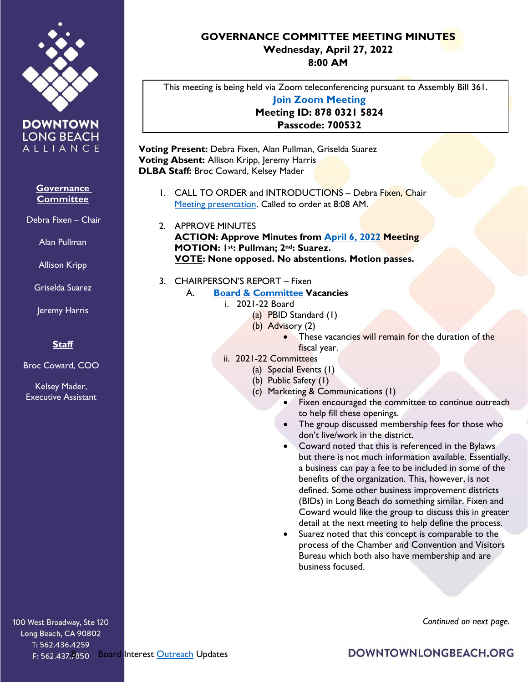

**DOWNTOWN LONG BEACH** ALLIANCE

## **Governance Committee**

Debra Fixen – Chair

Alan Pullman

Allison Kripp

Griselda Suarez

Jeremy Harris

## **Staff**

Broc Coward, COO

Kelsey Mader, Executive Assistant

100 West Broadway, Ste 120 Long Beach, CA 90802 T: 562.436.4259

## **GOVERNANCE COMMITTEE MEETING MINUTES Wednesday, April 27, 2022 8:00 AM**

This meeting is being held via Zoom teleconferencing pursuant to Assembly Bill 361. **[Join Zoom Meeting](https://us02web.zoom.us/j/87803215824?pwd=Mkt6Mk9yNU5XNGozL2pwYkU0VXVSdz09) Meeting ID: 878 0321 5824 Passcode: 700532**

**Voting Present:** Debra Fixen, Alan Pullman, Griselda Suarez **Voting Absent:** Allison Kripp, Jeremy Harris **DLBA Staff:** Broc Coward, Kelsey Mader

- 1. CALL TO ORDER and INTRODUCTIONS Debra Fixen, Chair [Meeting presentation.](https://downtownlongbeach.org/wp-content/uploads/GOV-Presentation-4-27-22-F.pdf) Called to order at 8:08 AM.
- 2. APPROVE MINUTES **ACTION: Approve Minutes from [April 6, 2022](https://downtownlongbeach.org/wp-content/uploads/Governance-Minutes-4-6-22-F.pdf) Meeting MOTION: 1st: Pullman; 2nd: Suarez. VOTE: None opposed. No abstentions. Motion passes.**
- 3. CHAIRPERSON'S REPORT Fixen
	- A. **[Board & Committee](https://downtownlongbeach.org/wp-content/uploads/04.-Board-Committee-Roster-2021-2022-1.pdf) Vacancies**
		- i. 2021-22 Board
			- (a) PBID Standard (1)
			- (b) Advisory (2)
				- These vacancies will remain for the duration of the fiscal year.
		- ii. 2021-22 Committees
			- (a) Special Events (1)
			- (b) Public Safety (1)
			- (c) Marketing & Communications (1)
				- Fixen encouraged the committee to continue outreach to help fill these openings.
				- The group discussed membership fees for those who don't live/work in the district.
				- Coward noted that this is referenced in the Bylaws but there is not much information available. Essentially, a business can pay a fee to be included in some of the benefits of the organization. This, however, is not defined. Some other business improvement districts (BIDs) in Long Beach do something similar. Fixen and Coward would like the group to discuss this in greater detail at the next meeting to help define the process.
				- Suarez noted that this concept is comparable to the process of the Chamber and Convention and Visitors Bureau which both also have membership and are business focused.

 *Continued on next page.*

F: 562.437.7850 Board Interest [Outreach](https://docs.google.com/spreadsheets/d/1CMlEe5jfYnSgZUzaJjqCW42hucWGMueg5pKroExWNA4/edit?usp=sharing) Updates

DOWNTOWNLONGBEACH.ORG